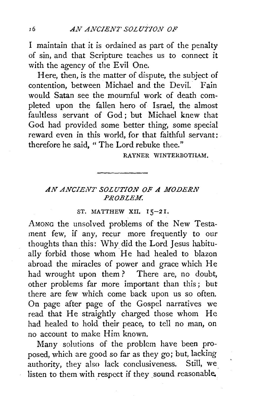I maintain that it is ordained as part of the penalty of sin, and that Scripture teaches us to connect it with the agency of the Evil One.

Here, then, is the matter of dispute, the subject of contention, between Michael and the Devil. Fain would Satan see the mournful work of death completed upon the fallen hero of Israel, the almost faultless servant of God ; but Michael knew that God had provided some better thing, some special reward even in this world, for that faithful servant: therefore he said, "The Lord rebuke thee."

RAYNER WINTERBOTHAM.

## *AN ANCIENT SOLUTION OF A MODERN PROBLEM.*

## ST. MATTHEW XII.  $15 - 21$ .

AMONG the unsolved problems of the New Testament few, if any, recur more frequently to our thoughts than this: Why did the Lord Jesus habitually forbid those whom He had healed to blazon abroad the miracles of power and grace which He had wrought upon them ? There are, no doubt, other problems far more important than this; but there are few which come back upon us so often. On page after page of the Gospel narratives we read that He straightly charged those whom He had healed to hold their peace, to tell no man, on no account to make Him known.

Many solutions of the problem have been proposed, which are good so far as they go; but, lacking authority, they also iack conclusiveness. Still, we listen to them with respect if they sound reasonable.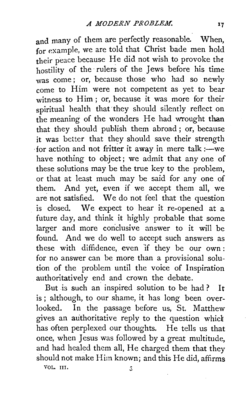and many of them are perfectly reasonable. When, for example, we are told that Christ bade men hold their peace because He did not wish to provoke the hostility of the rulers of the Jews before his time was come; *or,* because those who had so newly come to Him were not competent as yet to bear witness to Him ; or, because it was more for their spiritual health that'they should silently reflect on the meaning of the wonders He had wrought than that they should publish them abroad ; or, because it was better that they should save their strength for action and not fritter it away in mere talk :- we have nothing to object; we admit that any one of these solutions may be the true key to the problem, or that at least much may be said for any one of them. And yet, even if we accept them all, we are not satisfied. We do not feel that the question is closed. We expect to hear it re-opened at a future day, and think it highly probable that some larger and more conclusive answer to it will be found. And we do well to accept such answers as these with diffidence, even 'if they be our own : for no answer can be more than a provisional solution of the problem until the voice of Inspiration authoritatively end and crown the debate.

But is such an inspired solution to be had? It is ; although, to our shame, it has long been overlooked. In the passage before us, St. Matthew gives an authoritative reply to the question which has often perplexed our thoughts. He tells us that once, when Jesus was followed by a great multitude, and had healed them all, He charged them that they should not make Him known; and this He did, affirms

VOL. III.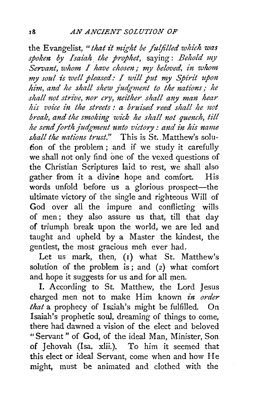the Evangelist, "that it might be fulfilled which was *spoken by Isaiah the prophet, saying: Behold my Servant, whom I have chosen; my beloved, in whom my soul z"s well pleased: I will put my Spirit upon him, and he shall shew judgment to the nations; he shall not strive, nor cry, neither shall any man hear*  his voice in the streets : a bruised reed shall he not *break, and the smoking wick he shall not quench, till he send forth judgmmt unto victory : and in his name shall the nations trust."* This is St. Matthew's solution of the problem ; and if we study it carefully we shall not only find one of the vexed questions of the Christian Scriptures laid to rest, we shall also gather from it a divine hope and comfort. His words unfold before us a glorious prospect-the ultimate victory of the single and righteous Will of God over all the impure and conflicting wills of men; they also assure us that, till that day of triumph break upon the world, we are led and taught and upheld by a Master the kindest, the gentlest, the most gracious meh ever had.

Let us mark, then, (1) what St. Matthew's solution of the problem is; and  $(2)$  what comfort and hope it suggests for us and for all men.

I. According to St. Matthew, the Lord Jesus charged men not to make Him known *in order that* a prophecy of Isaiah's might be fulfilled. On Isaiah's prophetic soul, dreaming of things to come, there had dawned a vision of the elect and beloved "Servant" of God, of the ideal Man, Minister, Son of Jehovah (Isa. xlii.). To him it seemed that this elect or ideal Servant, come when and how He might, must be animated and clothed with the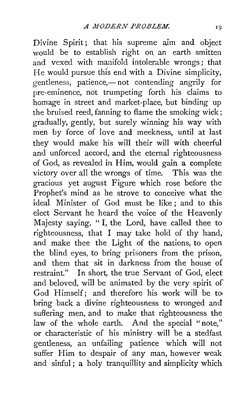Divine Spirit; that his supreme aim and object would be to establish right on an earth smitten and vexed with manifold intolerable wrongs; that He would pursue this end with a Divine simplicity,  $g$ entleness, patience,— not contending angrily for pre-eminence, not trumpeting forth his claims to homage in street and market-place, but binding up the bruised reed, fanning to flame the smoking wick; gradually, gently, but surely winning his way with men by force of love and meekness, until at last they would make his will their will with cheerful and unforced accord, and the eternal righteousness of God, as revealed in Him, would gain a complete victory over all the wrongs of time. This was the gracious yet august Figure which rose before the Prophet's mind as he strove to conceive what the ideal Minister of God must be like; and to this elect Servant he heard the voice of the Heavenly Majesty saying, " I, the Lord, have called thee to righteousness, that I may take hold of thy hand, and make thee the Light of the nations, to open the blind eyes, to bring prisoners from the prison, and them that sit in darkness from the house of restraint." In short, the true Servant of God, elect and beloved, will be animated by the very spirit of God Himself; and therefore his work will be to bring back a divine righteousness to wronged and' suffering men, and to make that righteousness the law of the whole earth. And the special "note," or characteristic of his ministry will be a stedfast gentleness, an unfailing patience which will not suffer Him to despair of any man, however weak and sinful; a holy tranquillity and simplicity which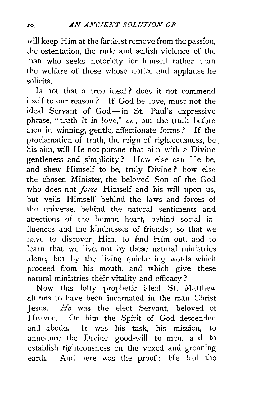will keep Him at the farthest remove from the passion, the ostentation, the rude and selfish violence of the man who seeks notoriety for himself rather than the welfare of those whose notice and applause he solicits.

Is not that a true ideal? does it not commend itself to our reason ? If God be love, must not the ideal Servant of God-in St. Paul's expressive phrase, "truth it in love," *z.e.,* put the truth before men in winning, gentle, affectionate forms ? If the proclamation of truth, the reign of righteousness, be . his aim, will He not pursue that aim with a Divine gentleness and simplicity? How else can He be, and shew Himself to be, truly Divine? how else the chosen Minister, the beloved Son of the God who does not *force* Himself and his will upon us, but veils Himself behind the laws and forces of the universe, behind the natural sentiments and affections of the human heart, behind social influences and the kindnesses of friends ; so that we have to discover Him, to find Him out, and to learn that we live, not by these natural ministries alone, but by the living quickening words which proceed from his mouth, and which give these natural ministries their vitality and efficacy?

Now this lofty prophetic ideal St. Matthew affirms to have been incarnated in the man Christ Jesus. *He* was the elect Servant, beloved of I leaven. On him the Spirit of God descended and abode. It was his task, his mission, to announce the Divine good-will to men, and to establish righteousness on the vexed and groaning earth. And here was the proof: He had the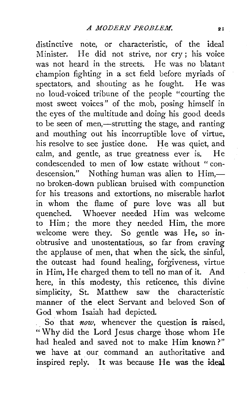distinctive note, or characteristic, of the ideal Minister. He did not strive, nor cry; his voice was not heard in the streets. He was no blatant champion fighting in a set field before myriads of spectators, and shouting as he fought. He was no loud-voiced tribune of the people "courting the most sweet voices" of the mob, posing himself in the eyes of the multitude and doing his good deeds to be seen of men,—strutting the stage, and ranting and mouthing out his incorruptible love of virtue, his resolve to see justice done. He was quiet, and calm, and gentle, as true greatness ever is. He condescended to men of low estate without " condescension." Nothing human was alien to Him, no broken-down publican bruised with compunction for his treasons and extortions, no miserable harlot in whom the flame of pure love was all but quenched. Whoever needed Him was welcome to Him; the more they needed Him, the more welcome were they. So gentle was He, so inobtrusive and unostentatious, so far from craving the applause of men, that when the sick, the sinful, the outcast had found healing, forgiveness, virtue in Him, He charged them to tell no man of it. And here, in this modesty, this reticence, this divine simplicity, St. Matthew saw the characteristic manner of the elect Servant and beloved Son of God whom Isaiah had depicted.

So that *now*, whenever the question is raised, " Why did the Lord Jesus charge those whom He had healed and saved not to make Him known?" we have at our command an authoritative and inspired reply. It was because He was the ideal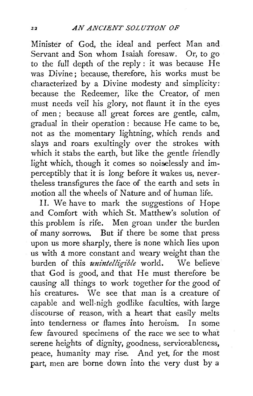Minister of God, the ideal and perfect Man and Servant and Son whom Isaiah foresaw. Or, to go to the full depth of the reply : it was because He was Divine; because, therefore, his works must be characterized by a Divine modesty and simplicity: because the Redeemer, like the Creator, of men must needs veil his glory, not flaunt it in the eyes of men ; because all great forces are gentle, calm, gradual in their operation: because He came to be, not as the momentary lightning, which rends and slays and roars exultingly over the strokes with which it stabs the earth, but like the gentle friendly light which, though it comes so noiselessly and imperceptibly that it is long before it wakes us, nevertheless transfigures the face of the earth and sets in motion all the wheels of Nature and of human life.

II. We have to mark the suggestions of Hope and Comfort with which St. Matthew's solution of this problem is rife. Men groan under the burden of many sorrows. **But** if there be some that press upon us more sharply, there is none which lies upon us with a more constant and weary weight than the burden of this *unintelligible* world. We believe that God is good, and that He must therefore be causing all things to work together for the good of his creatures. We see that man is a creature of capable and well-nigh godlike faculties, with large discourse of reason, with a heart that easily melts into tenderness or flames into heroism. In some few favoured specimens of the race we see to what serene heights of dignity, goodness, serviceableness, peace, humanity may rise. And yet, for the most part, men are borne down into the very dust by a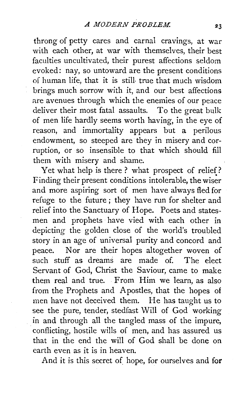throng of petty cares and carnal cravings, at war with each other, at war with themselves, their best faculties uncultivated, their purest affections seldom evoked: nay, so untoward are the present conditions of human life, that it is still- true that much wisdom brings much sorrow with it, and our best affections are avenues through which the enemies of our peace deliver their most fatal assaults. To the great bulk of men life hardly seems worth having, in the eye of reason, and immortality appears but a perilous endowment, so steeped are they in misery and corruption, or so insensible to that which should fill them with misery and shame.

Yet what help is there? what prospect of relief? Finding their present conditions intolerable, the wiser and more aspiring sort of men have always fled for refuge to the future ; they have run for shelter and relief into the Sanctuary of Hope. Poets and statesmen and prophets have vied with each other in depicting the golden close of the world's troubled story in an age of universal purity and concord and peace. Nor are their hopes altogether woven of such stuff as dreams are made of. The elect Servant of God, Christ the Saviour, came to make them real and true. From Him we learn, as also from the Prophets and Apostles, that the hopes of men have not deceived them. He has taught us to see the pure, tender, stedfast Will of God working in and through all the tangled mass of the impure, conflicting, hostile wills of men, and has assured us that in the end the will of God shall be done on earth even as it is in heaven.

And it is this secret of hope, for ourselves and for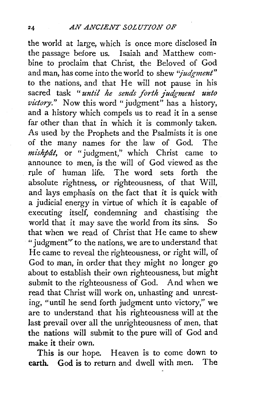the world at large, which is once more disclosed in the passage before us. Isaiah and Matthew combine to proclaim that Christ, the Beloved of God and man, has come into the world to shew *''judgment"*  to the nations, and that He will not pause in his sacred task " *until he sends forth judgment unto victory.*" Now this word "judgment" has a history, and a history which compels us to read it in a sense far other than that in which it is commonly taken. As used by the Prophets and the Psalmists it is one of the many names for the law of God. The *mishpdt,* or "judgment," which Christ came to announce to men, is the will of God viewed as the rule of human life. The word sets forth the absolute rightness, or righteousness, of that Will, and lays emphasis on the fact that it is quick with a judicial energy in virtue of which it is capable of executing itself, condemning and chastising the world that it may save the world from its sins. So that when we read of Christ that He came to shew "judgment" to the nations, we are to understand that He came to reveal the righteousness, or right will, of God to man, in order that they might no longer go about to establish their own righteousness, but might submit to the righteousness of God. And when we read that Christ will work on, unhasting and unresting, "until he send forth judgment unto victory," we are to understand that his righteousness will at the last prevail over all the unrighteousness of men, that the nations will submit to the pure will of God and make it their own.

This is our hope. Heaven is to come down to earth. God is to return and dwell with men. The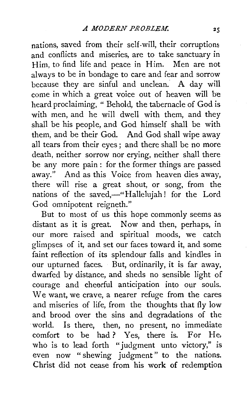nations, saved from their self-will, their corruptiom and conflicts and miseries, are to take sanctuary in Him, to find life and peace in Him. Men are not always to be in bondage to care and fear and sorrow because they are sinful and unclean. A day will come in which a great voice out of heaven will be heard proclaiming, " Behold, the tabernacle of God is with men, and he will dwell with them, and they shall be his people, and God himself shall be with them, and be their God. And God shall wipe away all tears from their eyes ; and there shall be no more death, neither sorrow nor crying, neither shall there be any more pain : for the former things are passed away." And as this Voice from heaven dies away, there will rise a great shout, or song, from the nations of the saved,-"Hallelujah! for the Lord God omnipotent reigneth."

But to most of us this hope commonly seems as distant as it is great. Now and then, perhaps, in our more raised and spiritual moods, we catch glimpses of it, and set our faces toward it, and some faint reflection of its splendour falls and kindles in our upturned faces. But, ordinarily, it is far away, dwarfed by distance, and sheds no sensible light of courage and cheerful anticipation into our souls. We want, we crave, a nearer refuge from the cares and miseries of life, from the thoughts that fly low and brood over the sins and degradations of the world. Is there, then, no present, no immediate comfort to be had? Yes, there is. For He, who is to lead forth "judgment unto victory," is even now " shewing judgment" to the nations. Christ did not cease from his work of redemption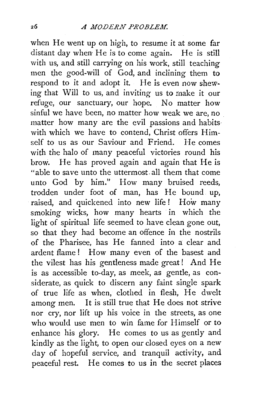when He went up on high, to resume it at some far distant day when He is to come again. He is still with us, and still carrying on his work, still teaching men the good-will of God, and inclining them to respond to it and adopt it. He is even now shewing that Will to us, and inviting us to make it our refuge, our sanctuary, our hope. No matter how sinful we have been, no matter how weak we are, no matter how many are the evil passions and habits with which we have to contend, Christ offers Himself to us as our Saviour and Friend. He comes with the halo of many peaceful victories round his brow. He has proved again and again that He is "able to save unto the uttermost. all them that come unto God by him." How many bruised reeds, trodden under foot of man, has He bound up, raised, and quickened into new life! How many smoking wicks, how many hearts in which the light of spiritual life seemed to have clean gone out, so that they had become an offence in the nostrils of the Pharisee, has He fanned into a: clear and ardent flame! How many even of the basest and the vilest has his gentleness made great! And He is as accessible to-day, as meek, as gentle, as considerate, as quick to discern any faint single spark of true life as when, clothed in flesh, He dwelt among men. It is still true that He does not strive nor cry, nor lift up his voice in the streets, as one who would use men to win fame for Himself or to enhance his glory. He comes to us as gently and kindly as the light, to open our closed eyes on a new day of hopeful service, and tranquil activity, and peaceful rest. He comes to us in the secret places